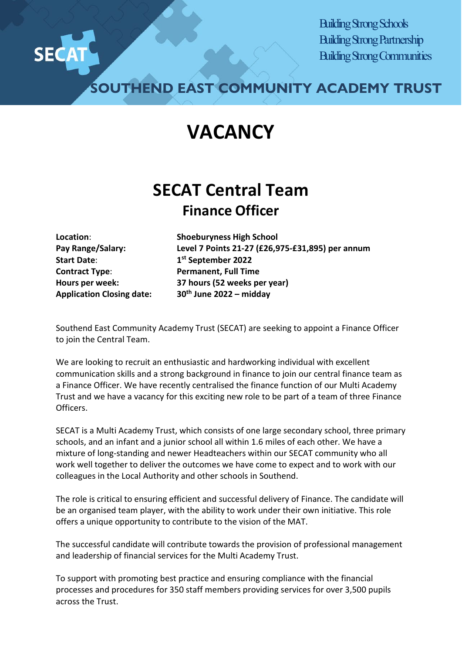

Building Strong Schools Building Strong Partnership Building Strong Communities

**SOUTHEND EAST COMMUNITY ACADEMY TRUST**

## **VACANCY**

## **SECAT Central Team Finance Officer**

**Start Date**: **1st September 2022 Contract Type**: **Permanent, Full Time** 

**Location**: **Shoeburyness High School Pay Range/Salary: Level 7 Points 21-27 (£26,975-£31,895) per annum Hours per week: 37 hours (52 weeks per year) Application Closing date: 30th June 2022 – midday** 

Southend East Community Academy Trust (SECAT) are seeking to appoint a Finance Officer to join the Central Team.

We are looking to recruit an enthusiastic and hardworking individual with excellent communication skills and a strong background in finance to join our central finance team as a Finance Officer. We have recently centralised the finance function of our Multi Academy Trust and we have a vacancy for this exciting new role to be part of a team of three Finance Officers.

SECAT is a Multi Academy Trust, which consists of one large secondary school, three primary schools, and an infant and a junior school all within 1.6 miles of each other. We have a mixture of long-standing and newer Headteachers within our SECAT community who all work well together to deliver the outcomes we have come to expect and to work with our colleagues in the Local Authority and other schools in Southend.

The role is critical to ensuring efficient and successful delivery of Finance. The candidate will be an organised team player, with the ability to work under their own initiative. This role offers a unique opportunity to contribute to the vision of the MAT.

The successful candidate will contribute towards the provision of professional management and leadership of financial services for the Multi Academy Trust.

To support with promoting best practice and ensuring compliance with the financial processes and procedures for 350 staff members providing services for over 3,500 pupils across the Trust.